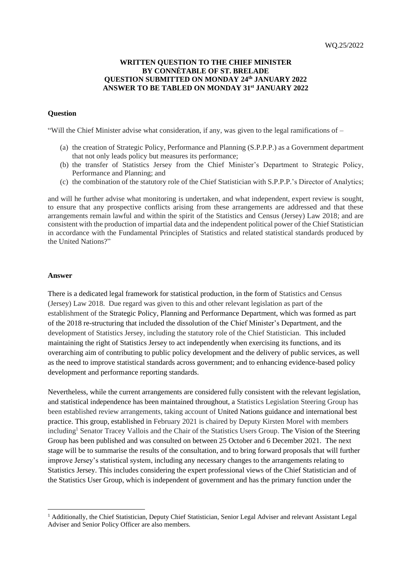## **WRITTEN QUESTION TO THE CHIEF MINISTER BY CONNÉTABLE OF ST. BRELADE QUESTION SUBMITTED ON MONDAY 24th JANUARY 2022 ANSWER TO BE TABLED ON MONDAY 31st JANUARY 2022**

## **Question**

"Will the Chief Minister advise what consideration, if any, was given to the legal ramifications of  $-$ 

- (a) the creation of Strategic Policy, Performance and Planning (S.P.P.P.) as a Government department that not only leads policy but measures its performance;
- (b) the transfer of Statistics Jersey from the Chief Minister's Department to Strategic Policy, Performance and Planning; and
- (c) the combination of the statutory role of the Chief Statistician with S.P.P.P.'s Director of Analytics;

and will he further advise what monitoring is undertaken, and what independent, expert review is sought, to ensure that any prospective conflicts arising from these arrangements are addressed and that these arrangements remain lawful and within the spirit of the Statistics and Census (Jersey) Law 2018; and are consistent with the production of impartial data and the independent political power of the Chief Statistician in accordance with the Fundamental Principles of Statistics and related statistical standards produced by the United Nations?"

## **Answer**

There is a dedicated legal framework for statistical production, in the form of Statistics and Census (Jersey) Law 2018. Due regard was given to this and other relevant legislation as part of the establishment of the Strategic Policy, Planning and Performance Department, which was formed as part of the 2018 re-structuring that included the dissolution of the Chief Minister's Department, and the development of Statistics Jersey, including the statutory role of the Chief Statistician. This included maintaining the right of Statistics Jersey to act independently when exercising its functions, and its overarching aim of contributing to public policy development and the delivery of public services, as well as the need to improve statistical standards across government; and to enhancing evidence-based policy development and performance reporting standards.

Nevertheless, while the current arrangements are considered fully consistent with the relevant legislation, and statistical independence has been maintained throughout, a Statistics Legislation Steering Group has been established review arrangements, taking account of United Nations guidance and international best practice. This group, established in February 2021 is chaired by Deputy Kirsten Morel with members including<sup>1</sup> Senator Tracey Vallois and the Chair of the Statistics Users Group. The Vision of the Steering Group has been published and was consulted on between 25 October and 6 December 2021. The next stage will be to summarise the results of the consultation, and to bring forward proposals that will further improve Jersey's statistical system, including any necessary changes to the arrangements relating to Statistics Jersey. This includes considering the expert professional views of the Chief Statistician and of the Statistics User Group, which is independent of government and has the primary function under the

<sup>&</sup>lt;sup>1</sup> Additionally, the Chief Statistician, Deputy Chief Statistician, Senior Legal Adviser and relevant Assistant Legal Adviser and Senior Policy Officer are also members.